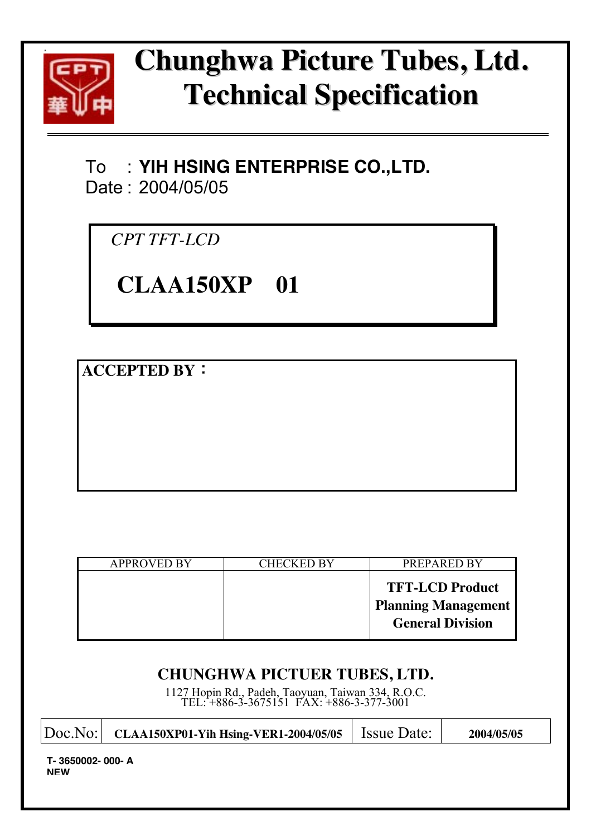

# **hunghwa Picture Tubes, Ltd. C Technical Specification**

# To : **YIH HSING ENTERPRISE CO.,LTD.**  Date : 2004/05/05

*CPT TFT-LCD* 

# **CLAA150XP 01**

**ACCEPTED BY**:

| <b>APPROVED BY</b> | <b>CHECKED BY</b> | PREPARED BY                                                                     |
|--------------------|-------------------|---------------------------------------------------------------------------------|
|                    |                   | <b>TFT-LCD Product</b><br><b>Planning Management</b><br><b>General Division</b> |

## **CHUNGHWA PICTUER TUBES, LTD.**

1127 Hopin Rd., Padeh, Taoyuan, Taiwan 334, R.O.C. TEL: +886-3-3675151 FAX: +886-3-377-3001

| Doc.No:                       | CLAA150XP01-Yih Hsing-VER1-2004/05/05 | <b>Issue Date:</b> | 2004/05/05 |
|-------------------------------|---------------------------------------|--------------------|------------|
| T-3650002-000-A<br><b>NEW</b> |                                       |                    |            |
|                               |                                       |                    |            |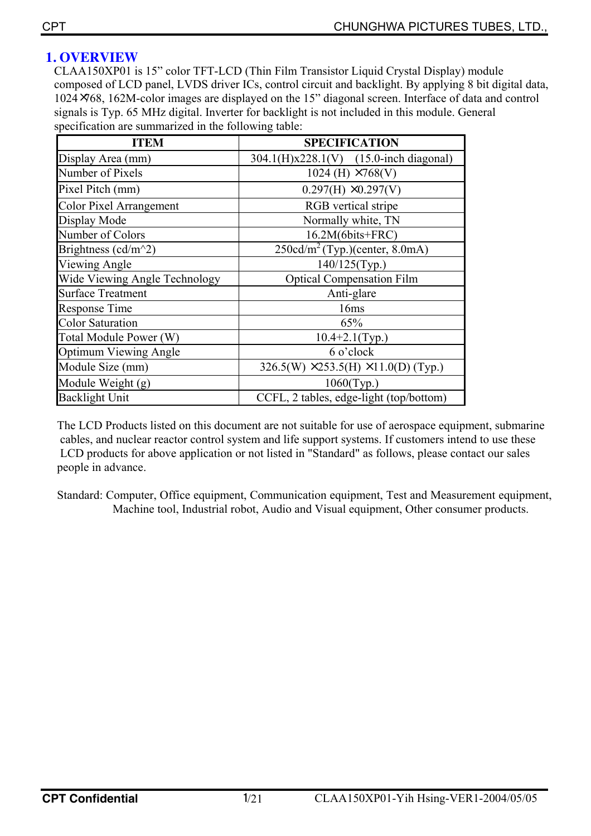## **1. OVERVIEW**

CLAA150XP01 is 15" color TFT-LCD (Thin Film Transistor Liquid Crystal Display) module composed of LCD panel, LVDS driver ICs, control circuit and backlight. By applying 8 bit digital data, 1024×768, 162M-color images are displayed on the 15" diagonal screen. Interface of data and control signals is Typ. 65 MHz digital. Inverter for backlight is not included in this module. General specification are summarized in the following table:

| <b>ITEM</b>                                     | <b>SPECIFICATION</b>                               |
|-------------------------------------------------|----------------------------------------------------|
| Display Area (mm)                               | 304.1(H)x228.1(V) (15.0-inch diagonal)             |
| Number of Pixels                                | 1024 (H) $\times 768$ (V)                          |
| Pixel Pitch (mm)                                | $0.297(H)$ $\times 0.297(V)$                       |
| Color Pixel Arrangement                         | RGB vertical stripe                                |
| Display Mode                                    | Normally white, TN                                 |
| Number of Colors                                | 16.2M(6bits+FRC)                                   |
| Brightness (cd/m <sup><math>\sim</math>2)</sup> | $250 \text{cd/m}^2$ (Typ.)(center, 8.0mA)          |
| Viewing Angle                                   | 140/125(Typ.)                                      |
| <b>Wide Viewing Angle Technology</b>            | <b>Optical Compensation Film</b>                   |
| <b>Surface Treatment</b>                        | Anti-glare                                         |
| Response Time                                   | 16ms                                               |
| <b>Color Saturation</b>                         | 65%                                                |
| Total Module Power (W)                          | $10.4 + 2.1$ (Typ.)                                |
| Optimum Viewing Angle                           | 6 o'clock                                          |
| Module Size (mm)                                | 326.5(W) $\times$ 253.5(H) $\times$ 11.0(D) (Typ.) |
| Module Weight (g)                               | $1060$ (Typ.)                                      |
| Backlight Unit                                  | CCFL, 2 tables, edge-light (top/bottom)            |

The LCD Products listed on this document are not suitable for use of aerospace equipment, submarine cables, and nuclear reactor control system and life support systems. If customers intend to use these LCD products for above application or not listed in "Standard" as follows, please contact our sales people in advance.

Standard: Computer, Office equipment, Communication equipment, Test and Measurement equipment, Machine tool, Industrial robot, Audio and Visual equipment, Other consumer products.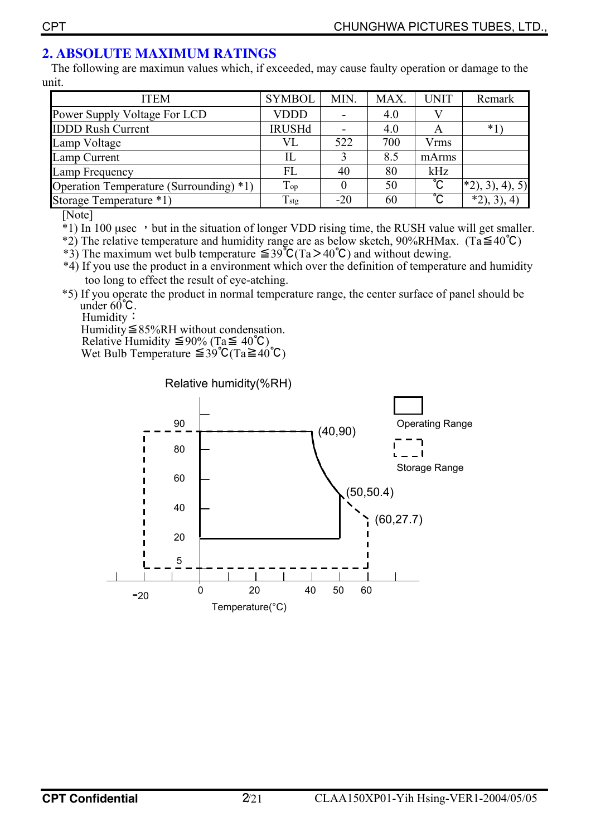## **2. ABSOLUTE MAXIMUM RATINGS**

 The following are maximun values which, if exceeded, may cause faulty operation or damage to the unit.

| <b>ITEM</b>                             | <b>SYMBOL</b>  | MIN.  | MAX. | <b>UNIT</b>           | Remark             |
|-----------------------------------------|----------------|-------|------|-----------------------|--------------------|
| Power Supply Voltage For LCD            | <b>VDDD</b>    |       | 4.0  |                       |                    |
| <b>IDDD Rush Current</b>                | <b>IRUSHd</b>  |       | 4.0  | A                     | $*1$               |
| Lamp Voltage                            | VL             | 522   | 700  | Vrms                  |                    |
| Lamp Current                            |                | 3     | 8.5  | mArms                 |                    |
| Lamp Frequency                          | FL             | 40    | 80   | kHz                   |                    |
| Operation Temperature (Surrounding) *1) | Top            |       | 50   | $\overline{\text{C}}$ | $(*2), 3), 4), 5)$ |
| Storage Temperature *1)                 | $T_{\rm{stg}}$ | $-20$ | 60   | ိင                    | $*2, 3, 4)$        |

[Note]

\*1) In 100 usec but in the situation of longer VDD rising time, the RUSH value will get smaller.

\*2) The relative temperature and humidity range are as below sketch,  $90\%RHMax$ . (Ta $\leq 40^{\circ}$ C)

\*3) The maximum wet bulb temperature ≦39℃(Ta>40℃) and without dewing.

 \*4) If you use the product in a environment which over the definition of temperature and humidity too long to effect the result of eye-atching.

\*5) If you operate the product in normal temperature range, the center surface of panel should be under  $60^{\circ}$ C.

Humidity:  $\text{Hundity} \leq 85\% \text{RH}$  without condensation.

Relative Humidity  $\leq 90\%$  (Ta $\leq 40^{\circ}$ C)

Wet Bulb Temperature  $\leq 39^{\circ}C(Ta) \leq 40^{\circ}C(Ta)$ 

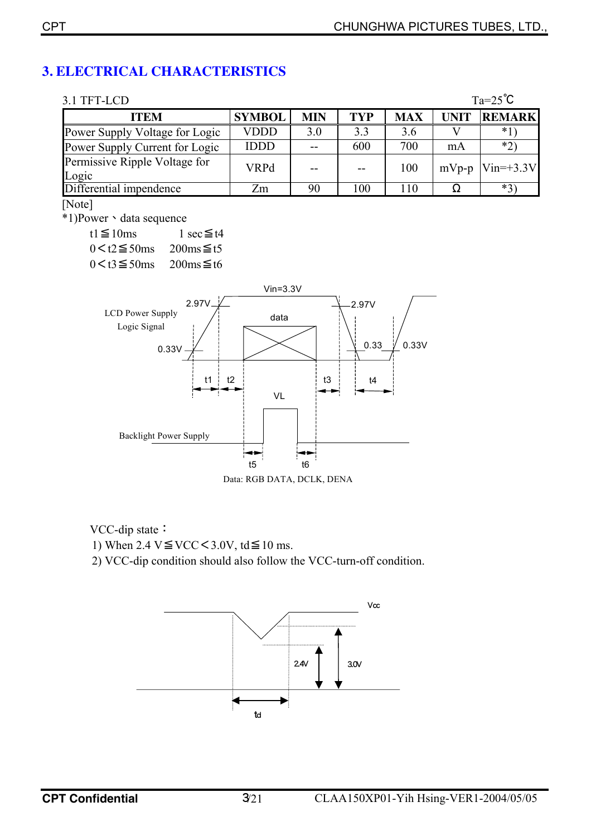## **3. ELECTRICAL CHARACTERISTICS**

| TFT-LCD |  |
|---------|--|
|         |  |

| $Ta=25^{\circ}C$<br>3.1 TFT-LCD        |               |            |     |            |             |                          |  |  |
|----------------------------------------|---------------|------------|-----|------------|-------------|--------------------------|--|--|
| <b>ITEM</b>                            | <b>SYMBOL</b> | <b>MIN</b> | TYP | <b>MAX</b> | <b>UNIT</b> | <b>REMARK</b>            |  |  |
| Power Supply Voltage for Logic         | VDDD          | 3.0        | 3.3 | 3.6        |             | *1`                      |  |  |
| Power Supply Current for Logic         | <b>IDDD</b>   |            | 600 | 700        | mA          | $*2)$                    |  |  |
| Permissive Ripple Voltage for<br>Logic | <b>VRPd</b>   |            |     | 100        |             | mVp-p $\text{Win=+3.3V}$ |  |  |
| Differential impendence                | Zm            | 90         | 100 | 110        |             | $*3$                     |  |  |

[Note]

\*1)Power、data sequence

 $t1 \leq 10$ ms  $1 \sec \leq t4$  $0 \leq t2 \leq 50$ ms 200ms $\leq t5$  $0 \leq t3 \leq 50$ ms  $200$ ms $\leq t6$ 



Data: RGB DATA, DCLK, DENA

VCC-dip state:

1) When  $2.4 \text{ V} \leq \text{VCC} < 3.0 \text{V}$ , td $\leq 10 \text{ ms}$ .

2) VCC-dip condition should also follow the VCC-turn-off condition.

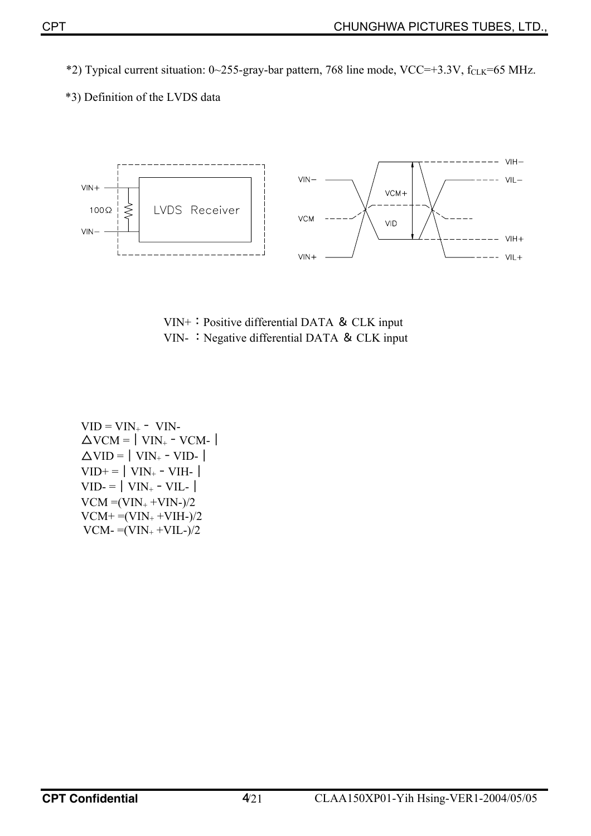\*2) Typical current situation:  $0 \sim 255$ -gray-bar pattern, 768 line mode, VCC=+3.3V, f<sub>CLK</sub>=65 MHz.

\*3) Definition of the LVDS data



VIN+:Positive differential DATA & CLK input VIN- : Negative differential DATA & CLK input

 $VID = VIN_+ - VIN$ - $\Delta$ VCM =  $|$  VIN<sub>+</sub> - VCM- $|$  $\Delta$ VID = | VIN<sub>+</sub> - VID- |  $VID+=|VIN_{+}-VIH_{-}|$  $VID = |VIN_{+} - VIL_{-}|$  $VCM = (VIN_+ + VIN_-)/2$  $VCM+ = (VIN_{+} + VIH_{-})/2$  $VCM = (VIN_{+} + VIL_{-})/2$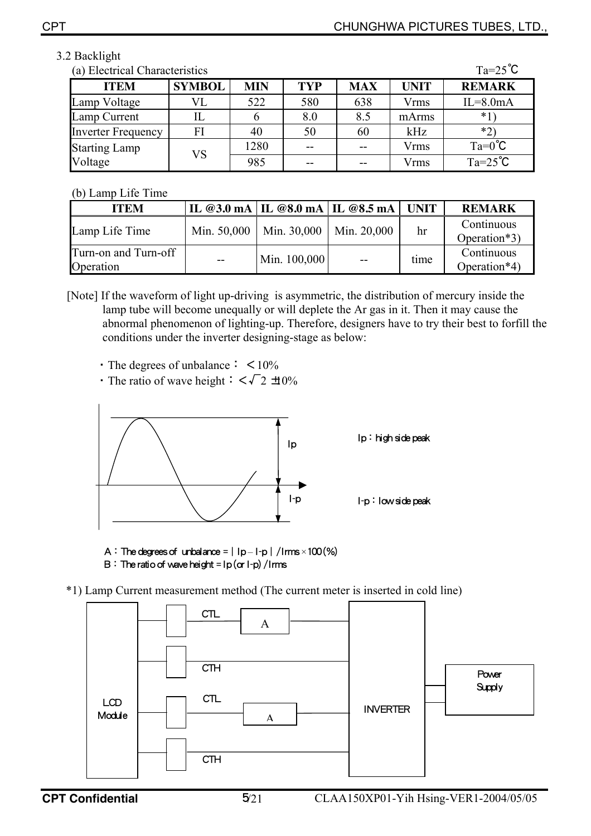## 3.2 Backlight

| $Ta=25^{\circ}C$<br>(a) Electrical Characteristics |               |            |            |            |             |                  |  |  |
|----------------------------------------------------|---------------|------------|------------|------------|-------------|------------------|--|--|
| <b>ITEM</b>                                        | <b>SYMBOL</b> | <b>MIN</b> | <b>TYP</b> | <b>MAX</b> | <b>UNIT</b> | <b>REMARK</b>    |  |  |
| Lamp Voltage                                       | VL            | 522        | 580        | 638        | <b>Vrms</b> | $IL = 8.0mA$     |  |  |
| Lamp Current                                       | IL            | 6          | 8.0        | 8.5        | mArms       | $*_{1}$          |  |  |
| <b>Inverter Frequency</b>                          | FI            | 40         | 50         | 60         | kHz         | $*_{2}$          |  |  |
| <b>Starting Lamp</b>                               | VS            | 1280       | $-$        |            | <b>Vrms</b> | $Ta=0^{\circ}C$  |  |  |
| Voltage                                            |               | 985        | --         |            | Vrms        | $Ta=25^{\circ}C$ |  |  |

#### (b) Lamp Life Time

| O Lamo Liiv Tiin                  |     |                                      |             |             |                            |
|-----------------------------------|-----|--------------------------------------|-------------|-------------|----------------------------|
| <b>ITEM</b>                       |     | IL @3.0 mA   IL @8.0 mA   IL @8.5 mA |             | <b>UNIT</b> | <b>REMARK</b>              |
| Lamp Life Time                    |     | Min. $50,000$   Min. $30,000$        | Min. 20,000 | hr          | Continuous<br>Operation*3) |
| Turn-on and Turn-off<br>Operation | $-$ | Min. 100,000                         | $ -$        | time        | Continuous<br>Operation*4) |

[Note] If the waveform of light up-driving is asymmetric, the distribution of mercury inside the lamp tube will become unequally or will deplete the Ar gas in it. Then it may cause the abnormal phenomenon of lighting-up. Therefore, designers have to try their best to forfill the conditions under the inverter designing-stage as below:

- $\cdot$  The degrees of unbalance:  $\lt 10\%$
- The ratio of wave height:  $\langle \sqrt{2} \pm 0 \rangle$



A: The degrees of unbalance =  $\vert$  lp – I-p  $\vert$  / Irms ×100 (%) B: The ratio of wave height =  $lp($  or  $l-p)$  / Irms

\*1) Lamp Current measurement method (The current meter is inserted in cold line)

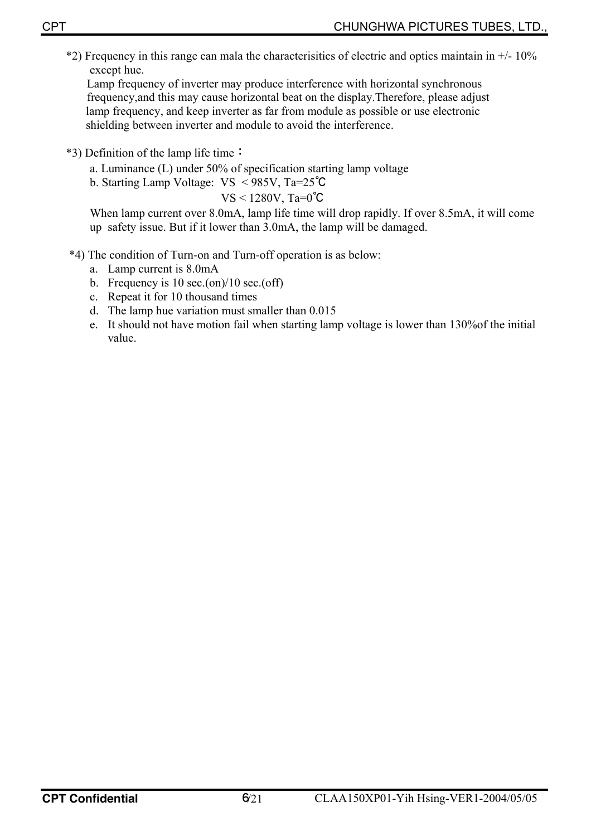$*2$ ) Frequency in this range can mala the characterisitics of electric and optics maintain in  $+/-10\%$ except hue.

Lamp frequency of inverter may produce interference with horizontal synchronous frequency,and this may cause horizontal beat on the display.Therefore, please adjust lamp frequency, and keep inverter as far from module as possible or use electronic shielding between inverter and module to avoid the interference.

- \*3) Definition of the lamp life time:
	- a. Luminance (L) under 50% of specification starting lamp voltage
	- b. Starting Lamp Voltage: VS < 985V, Ta=25℃

VS < 1280V, Ta=0℃

When lamp current over 8.0mA, lamp life time will drop rapidly. If over 8.5mA, it will come up safety issue. But if it lower than 3.0mA, the lamp will be damaged.

- \*4) The condition of Turn-on and Turn-off operation is as below:
	- a. Lamp current is 8.0mA
	- b. Frequency is 10 sec.(on)/10 sec.(off)
	- c. Repeat it for 10 thousand times
	- d. The lamp hue variation must smaller than 0.015
	- e. It should not have motion fail when starting lamp voltage is lower than 130%of the initial value.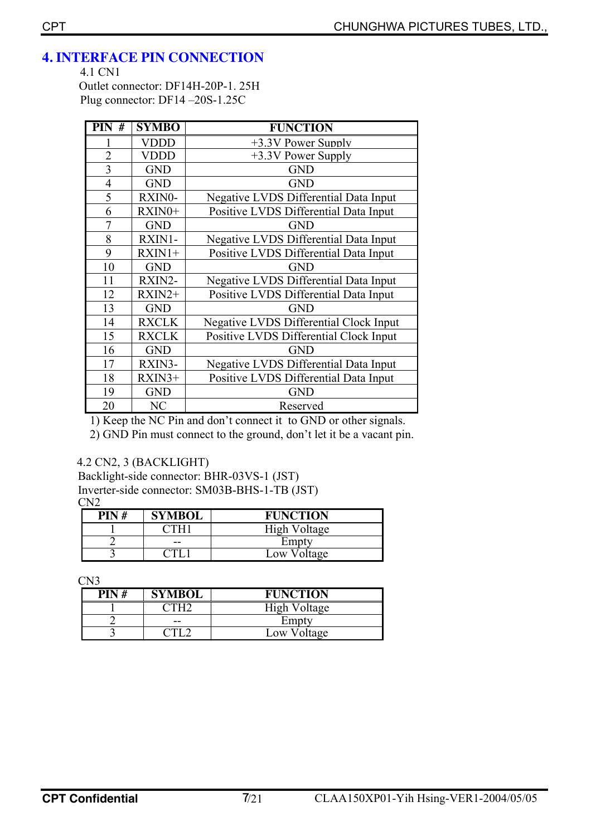## **4. INTERFACE PIN CONNECTION**

4.1 CN1

Outlet connector: DF14H-20P-1. 25H Plug connector: DF14 –20S-1.25C

| $\overline{PIN}$ # | <b>SYMBO</b> | <b>FUNCTION</b>                        |
|--------------------|--------------|----------------------------------------|
|                    | VDDD         | +3.3V Power Supply                     |
| $\overline{2}$     | <b>VDDD</b>  | $+3.3V$ Power Supply                   |
| 3                  | <b>GND</b>   | <b>GND</b>                             |
| $\overline{4}$     | <b>GND</b>   | <b>GND</b>                             |
| 5                  | RXIN0-       | Negative LVDS Differential Data Input  |
| 6                  | RXIN0+       | Positive LVDS Differential Data Input  |
| $\overline{7}$     | <b>GND</b>   | <b>GND</b>                             |
| 8                  | RXIN1-       | Negative LVDS Differential Data Input  |
| 9                  | $RXIN1+$     | Positive LVDS Differential Data Input  |
| 10                 | <b>GND</b>   | <b>GND</b>                             |
| 11                 | RXIN2-       | Negative LVDS Differential Data Input  |
| 12                 | $RXIN2+$     | Positive LVDS Differential Data Input  |
| 13                 | <b>GND</b>   | <b>GND</b>                             |
| 14                 | <b>RXCLK</b> | Negative LVDS Differential Clock Input |
| 15                 | <b>RXCLK</b> | Positive LVDS Differential Clock Input |
| 16                 | <b>GND</b>   | <b>GND</b>                             |
| 17                 | RXIN3-       | Negative LVDS Differential Data Input  |
| 18                 | $RXIN3+$     | Positive LVDS Differential Data Input  |
| 19                 | <b>GND</b>   | <b>GND</b>                             |
| 20                 | NC           | Reserved                               |

1) Keep the NC Pin and don't connect it to GND or other signals.

2) GND Pin must connect to the ground, don't let it be a vacant pin.

#### 4.2 CN2, 3 (BACKLIGHT)

Backlight-side connector: BHR-03VS-1 (JST) Inverter-side connector: SM03B-BHS-1-TB (JST) CN2

| PIN# | SYMBOL | <b>FUNCTION</b>      |
|------|--------|----------------------|
|      |        | High Voltage         |
|      | $- -$  | Empty                |
|      |        | Voltage<br>$\sim 0W$ |

CN3

| PIN# | <b>SYMBOL</b> | <b>FUNCTION</b> |
|------|---------------|-----------------|
|      |               | High Voltage    |
|      | --            | Empty           |
|      |               | Low Voltage     |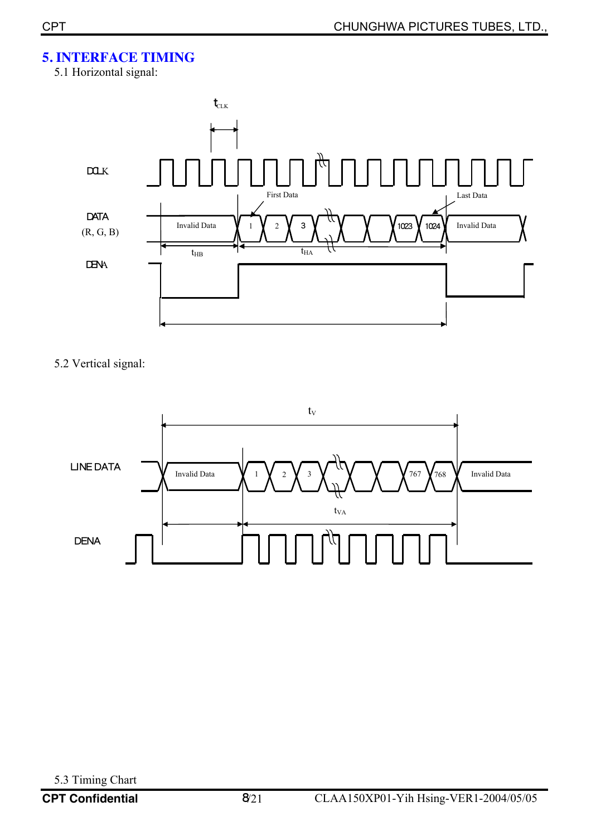## **5. INTERFACE TIMING**

5.1 Horizontal signal:



5.2 Vertical signal:

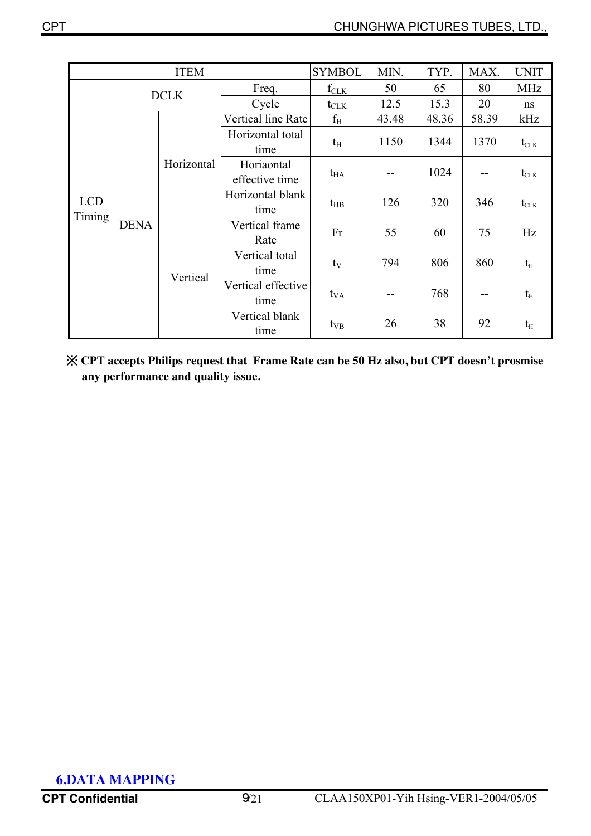|                      |             | <b>ITEM</b>                  |                            | <b>SYMBOL</b>    | MIN.  | TYP.  | MAX.                                 | <b>UNIT</b>                            |
|----------------------|-------------|------------------------------|----------------------------|------------------|-------|-------|--------------------------------------|----------------------------------------|
|                      | <b>DCLK</b> |                              | Freq.                      | $f_{CLK}$        | 50    | 65    | 80                                   | <b>MHz</b>                             |
|                      |             |                              | Cycle                      | $t_{\text{CLK}}$ | 12.5  | 15.3  | 20                                   | ns                                     |
|                      |             |                              | Vertical line Rate         | $f_{\rm H}$      | 43.48 | 48.36 | 58.39                                | kHz                                    |
|                      |             |                              | Horizontal total<br>time   | $t_{\rm H}$      | 1150  | 1344  | 1370                                 | $t_{\scriptscriptstyle{\text{CLK}}}$   |
|                      | Horizontal  | Horiaontal<br>effective time | $t_{HA}$                   |                  | 1024  |       | $t_{\scriptscriptstyle{\text{CLK}}}$ |                                        |
| <b>LCD</b><br>Timing |             |                              | Horizontal blank<br>time   | $t_{HB}$         | 126   | 320   | 346                                  | $t_{\scriptscriptstyle{\mathrm{CLK}}}$ |
|                      | <b>DENA</b> | Vertical                     | Vertical frame<br>Rate     | Fr               | 55    | 60    | 75                                   | Hz                                     |
|                      |             |                              | Vertical total<br>time     | $t_V$            | 794   | 806   | 860                                  | $t_{\rm H}$                            |
|                      |             |                              | Vertical effective<br>time | $t_{VA}$         |       | 768   | --                                   | $t_{\rm H}$                            |
|                      |             |                              | Vertical blank<br>time     | $t_{VB}$         | 26    | 38    | 92                                   | $t_{\rm H}$                            |

 ※ **CPT accepts Philips request that Frame Rate can be 50 Hz also, but CPT doesn't prosmise any performance and quality issue.**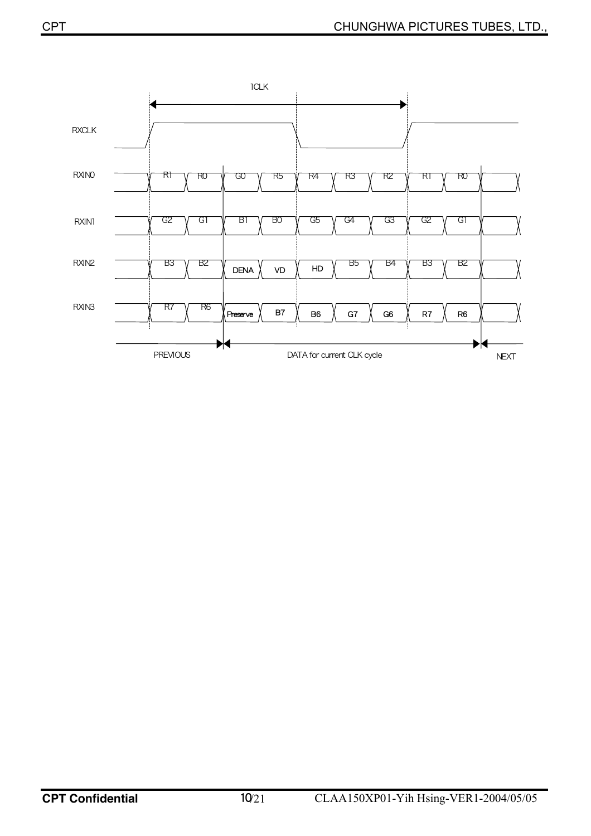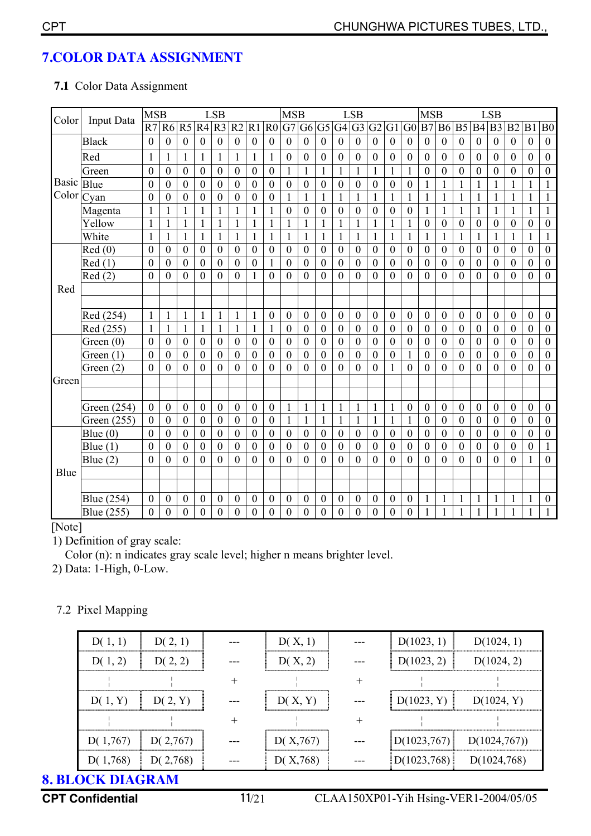## **7.COLOR DATA ASSIGNMENT**

#### **7.1** Color Data Assignment

| Color | Input Data    | <b>MSB</b>       |                  |                  |                  | <b>LSB</b>       |                  |                  |                  | <b>MSB</b>       |                  |                  |                  | <b>LSB</b>       |                  |                  |                  | <b>MSB</b>       |                  |                  |                  | <b>LSB</b>       |                  |                  |                  |
|-------|---------------|------------------|------------------|------------------|------------------|------------------|------------------|------------------|------------------|------------------|------------------|------------------|------------------|------------------|------------------|------------------|------------------|------------------|------------------|------------------|------------------|------------------|------------------|------------------|------------------|
|       |               | R7               | <b>R6 R5</b>     |                  | R4 R3            |                  | R <sub>2</sub>   | R1               | R <sub>0</sub>   | G7               | G <sub>6</sub>   | G <sub>5</sub>   | G <sub>4</sub>   | G <sub>3</sub>   | G <sub>2</sub>   | G1               | G <sub>0</sub>   | B7               | <b>B6</b>        | B <sub>5</sub>   |                  | B4 B3            | B <sub>2</sub>   | B <sub>1</sub>   | B <sub>0</sub>   |
|       | <b>Black</b>  | $\overline{0}$   | $\mathbf{0}$     | $\overline{0}$   | $\overline{0}$   | $\mathbf{0}$     | $\mathbf{0}$     | $\overline{0}$   | $\mathbf{0}$     | $\overline{0}$   | $\mathbf{0}$     | $\mathbf{0}$     | $\boldsymbol{0}$ | $\boldsymbol{0}$ | $\overline{0}$   | $\mathbf{0}$     | $\overline{0}$   | $\mathbf{0}$     | $\mathbf{0}$     | $\mathbf{0}$     | $\overline{0}$   | $\overline{0}$   | $\mathbf{0}$     | $\mathbf{0}$     | $\boldsymbol{0}$ |
|       | Red           | 1                | $\mathbf{1}$     | 1                | $\mathbf{1}$     | 1                | $\mathbf{1}$     | $\mathbf{1}$     |                  | $\boldsymbol{0}$ | $\boldsymbol{0}$ | 0                | 0                | $\boldsymbol{0}$ | $\boldsymbol{0}$ | $\boldsymbol{0}$ | $\boldsymbol{0}$ | $\boldsymbol{0}$ | $\boldsymbol{0}$ | $\boldsymbol{0}$ | $\boldsymbol{0}$ | $\boldsymbol{0}$ | $\boldsymbol{0}$ | $\boldsymbol{0}$ | $\boldsymbol{0}$ |
|       | Green         | $\boldsymbol{0}$ | $\boldsymbol{0}$ | $\boldsymbol{0}$ | $\boldsymbol{0}$ | $\mathbf{0}$     | $\boldsymbol{0}$ | $\boldsymbol{0}$ | $\boldsymbol{0}$ | $\mathbf{1}$     | $\mathbf{1}$     | 1                |                  | $\mathbf{1}$     | $\mathbf{1}$     | $\mathbf{1}$     | $\mathbf{1}$     | $\boldsymbol{0}$ | $\boldsymbol{0}$ | $\boldsymbol{0}$ | $\boldsymbol{0}$ | $\theta$         | $\boldsymbol{0}$ | $\mathbf{0}$     | $\mathbf{0}$     |
| Basic | Blue          | $\mathbf{0}$     | $\theta$         | $\mathbf{0}$     | $\mathbf{0}$     | $\mathbf{0}$     | $\boldsymbol{0}$ | $\boldsymbol{0}$ | $\boldsymbol{0}$ | $\boldsymbol{0}$ | $\boldsymbol{0}$ | $\mathbf{0}$     | $\overline{0}$   | $\overline{0}$   | $\mathbf{0}$     | $\theta$         | $\boldsymbol{0}$ | $\mathbf{1}$     | 1                | 1                | 1                | 1                | 1                | 1                | $\mathbf{1}$     |
| Color | Cyan          | $\mathbf{0}$     | $\mathbf{0}$     | $\mathbf{0}$     | $\overline{0}$   | $\boldsymbol{0}$ | $\boldsymbol{0}$ | $\mathbf{0}$     | $\boldsymbol{0}$ | $\mathbf{1}$     | 1                | $\mathbf{1}$     | 1                | $\mathbf{1}$     | $\mathbf{1}$     | $\mathbf{1}$     | $\mathbf{1}$     | $\mathbf{1}$     | $\mathbf{1}$     | $\mathbf{1}$     | $\mathbf{1}$     | $\mathbf{1}$     | $\mathbf{1}$     | $\mathbf{1}$     | $\mathbf{1}$     |
|       | Magenta       |                  |                  |                  | 1                |                  | 1                | $\mathbf{1}$     |                  | $\boldsymbol{0}$ | $\boldsymbol{0}$ | $\boldsymbol{0}$ | $\boldsymbol{0}$ | $\boldsymbol{0}$ | $\boldsymbol{0}$ | $\boldsymbol{0}$ | $\boldsymbol{0}$ | 1                | 1                | 1                | $\mathbf{1}$     |                  | 1                |                  | $\mathbf{1}$     |
|       | Yellow        | 1                | $\mathbf{1}$     | 1                | 1                | 1                | 1                | 1                |                  | 1                | 1                | 1                |                  | 1                | 1                | 1                | 1                | $\boldsymbol{0}$ | $\boldsymbol{0}$ | $\boldsymbol{0}$ | $\boldsymbol{0}$ | $\boldsymbol{0}$ | $\boldsymbol{0}$ | $\boldsymbol{0}$ | $\boldsymbol{0}$ |
|       | White         | 1                | $\mathbf{1}$     | $\mathbf{1}$     | $\mathbf{1}$     | 1                | 1                | $\mathbf{1}$     | $\mathbf{1}$     | $\mathbf{1}$     | 1                | $\mathbf{1}$     | 1                | $\mathbf{1}$     | $\mathbf{1}$     | $\mathbf{1}$     | $\mathbf{1}$     | $\mathbf{1}$     | $\mathbf{1}$     | $\mathbf{1}$     | $\mathbf{1}$     | 1                | $\mathbf{1}$     | $\mathbf{1}$     | $\mathbf{1}$     |
|       | Red(0)        | $\boldsymbol{0}$ | $\boldsymbol{0}$ | $\boldsymbol{0}$ | $\boldsymbol{0}$ | $\boldsymbol{0}$ | $\boldsymbol{0}$ | $\boldsymbol{0}$ | $\boldsymbol{0}$ | $\boldsymbol{0}$ | $\boldsymbol{0}$ | $\boldsymbol{0}$ | $\boldsymbol{0}$ | $\boldsymbol{0}$ | $\boldsymbol{0}$ | $\boldsymbol{0}$ | $\boldsymbol{0}$ | $\boldsymbol{0}$ | $\boldsymbol{0}$ | $\boldsymbol{0}$ | $\boldsymbol{0}$ | $\boldsymbol{0}$ | $\boldsymbol{0}$ | $\boldsymbol{0}$ | $\boldsymbol{0}$ |
|       | Red(1)        | $\boldsymbol{0}$ | $\boldsymbol{0}$ | $\boldsymbol{0}$ | $\boldsymbol{0}$ | $\mathbf{0}$     | $\boldsymbol{0}$ | $\boldsymbol{0}$ |                  | $\boldsymbol{0}$ | $\boldsymbol{0}$ | $\boldsymbol{0}$ | $\boldsymbol{0}$ | $\boldsymbol{0}$ | $\boldsymbol{0}$ | $\boldsymbol{0}$ | $\boldsymbol{0}$ | $\boldsymbol{0}$ | $\boldsymbol{0}$ | $\boldsymbol{0}$ | $\boldsymbol{0}$ | $\boldsymbol{0}$ | $\boldsymbol{0}$ | $\boldsymbol{0}$ | $\boldsymbol{0}$ |
|       | Red(2)        | $\overline{0}$   | $\overline{0}$   | $\mathbf{0}$     | $\overline{0}$   | $\overline{0}$   | $\theta$         | 1                | $\theta$         | $\theta$         | $\theta$         | $\mathbf{0}$     | $\boldsymbol{0}$ | $\mathbf{0}$     | $\mathbf{0}$     | $\overline{0}$   | $\overline{0}$   | $\overline{0}$   | $\mathbf{0}$     | $\overline{0}$   | $\mathbf{0}$     | $\overline{0}$   | $\theta$         | $\mathbf{0}$     | $\overline{0}$   |
| Red   |               |                  |                  |                  |                  |                  |                  |                  |                  |                  |                  |                  |                  |                  |                  |                  |                  |                  |                  |                  |                  |                  |                  |                  |                  |
|       |               |                  |                  |                  |                  |                  |                  |                  |                  |                  |                  |                  |                  |                  |                  |                  |                  |                  |                  |                  |                  |                  |                  |                  |                  |
|       | Red (254)     | $\mathbf{1}$     | $\mathbf{1}$     | 1                | $\mathbf{1}$     | $\mathbf{1}$     | $\mathbf{1}$     | $\mathbf{1}$     | $\boldsymbol{0}$ | $\boldsymbol{0}$ | $\boldsymbol{0}$ | $\boldsymbol{0}$ | $\mathbf{0}$     | $\boldsymbol{0}$ | $\boldsymbol{0}$ | $\boldsymbol{0}$ | $\boldsymbol{0}$ | $\boldsymbol{0}$ | $\boldsymbol{0}$ | $\boldsymbol{0}$ | $\boldsymbol{0}$ | $\boldsymbol{0}$ | $\boldsymbol{0}$ | $\boldsymbol{0}$ | $\boldsymbol{0}$ |
|       | Red (255)     | 1                | $\mathbf{1}$     | 1                | 1                | 1                | 1                | $\mathbf{1}$     |                  | $\theta$         | $\mathbf{0}$     | $\mathbf{0}$     | $\overline{0}$   | $\theta$         | $\boldsymbol{0}$ | $\theta$         | $\boldsymbol{0}$ | $\boldsymbol{0}$ | $\boldsymbol{0}$ | $\boldsymbol{0}$ | $\boldsymbol{0}$ | $\boldsymbol{0}$ | $\boldsymbol{0}$ | $\boldsymbol{0}$ | $\boldsymbol{0}$ |
|       | Green $(0)$   | $\boldsymbol{0}$ | $\boldsymbol{0}$ | $\boldsymbol{0}$ | $\boldsymbol{0}$ | $\boldsymbol{0}$ | $\boldsymbol{0}$ | $\boldsymbol{0}$ | $\boldsymbol{0}$ | $\overline{0}$   | $\boldsymbol{0}$ | $\boldsymbol{0}$ | $\boldsymbol{0}$ | $\boldsymbol{0}$ | $\boldsymbol{0}$ | $\boldsymbol{0}$ | $\mathbf{0}$     | $\boldsymbol{0}$ | $\mathbf{0}$     | $\boldsymbol{0}$ | $\boldsymbol{0}$ | $\boldsymbol{0}$ | $\boldsymbol{0}$ | $\mathbf{0}$     | $\overline{0}$   |
|       | Green $(1)$   | $\boldsymbol{0}$ | $\boldsymbol{0}$ | $\boldsymbol{0}$ | $\mathbf{0}$     | $\boldsymbol{0}$ | $\boldsymbol{0}$ | $\boldsymbol{0}$ | $\mathbf{0}$     | $\boldsymbol{0}$ | $\mathbf{0}$     | $\boldsymbol{0}$ | $\boldsymbol{0}$ | $\boldsymbol{0}$ | $\mathbf{0}$     | $\theta$         |                  | $\mathbf{0}$     | $\boldsymbol{0}$ | $\mathbf{0}$     | $\mathbf{0}$     | $\mathbf{0}$     | $\boldsymbol{0}$ | $\boldsymbol{0}$ | $\boldsymbol{0}$ |
|       | Green $(2)$   | $\overline{0}$   | $\overline{0}$   | $\mathbf{0}$     | $\theta$         | $\overline{0}$   | $\theta$         | $\mathbf{0}$     | $\theta$         | $\theta$         | $\theta$         | $\mathbf{0}$     | $\overline{0}$   | $\overline{0}$   | $\mathbf{0}$     | 1                | $\overline{0}$   | $\overline{0}$   | $\mathbf{0}$     | $\theta$         | $\mathbf{0}$     | $\theta$         | $\theta$         | $\boldsymbol{0}$ | $\mathbf{0}$     |
| Green |               |                  |                  |                  |                  |                  |                  |                  |                  |                  |                  |                  |                  |                  |                  |                  |                  |                  |                  |                  |                  |                  |                  |                  |                  |
|       |               |                  |                  |                  |                  |                  |                  |                  |                  |                  |                  |                  |                  |                  |                  |                  |                  |                  |                  |                  |                  |                  |                  |                  |                  |
|       | Green (254)   | $\boldsymbol{0}$ | $\boldsymbol{0}$ | $\boldsymbol{0}$ | $\boldsymbol{0}$ | $\boldsymbol{0}$ | $\boldsymbol{0}$ | $\mathbf{0}$     | $\boldsymbol{0}$ | $\mathbf{1}$     | 1                | 1                | 1                | $\mathbf{1}$     | $\mathbf{1}$     | $\mathbf{1}$     | $\boldsymbol{0}$ | $\boldsymbol{0}$ | $\boldsymbol{0}$ | $\boldsymbol{0}$ | $\boldsymbol{0}$ | $\mathbf{0}$     | $\boldsymbol{0}$ | $\boldsymbol{0}$ | $\mathbf{0}$     |
|       | Green $(255)$ | $\boldsymbol{0}$ | $\boldsymbol{0}$ | $\mathbf{0}$     | $\overline{0}$   | $\overline{0}$   | $\mathbf{0}$     | $\boldsymbol{0}$ | $\boldsymbol{0}$ | $\mathbf{1}$     |                  | 1                |                  | $\mathbf{1}$     |                  | $\mathbf{1}$     |                  | $\boldsymbol{0}$ | $\boldsymbol{0}$ | $\overline{0}$   | $\overline{0}$   | $\boldsymbol{0}$ | $\boldsymbol{0}$ | $\mathbf{0}$     | $\mathbf{0}$     |
|       | Blue $(0)$    | $\boldsymbol{0}$ | $\boldsymbol{0}$ | $\boldsymbol{0}$ | $\boldsymbol{0}$ | $\boldsymbol{0}$ | $\boldsymbol{0}$ | $\boldsymbol{0}$ | $\boldsymbol{0}$ | $\boldsymbol{0}$ | $\boldsymbol{0}$ | $\boldsymbol{0}$ | $\boldsymbol{0}$ | $\boldsymbol{0}$ | $\boldsymbol{0}$ | $\boldsymbol{0}$ | $\boldsymbol{0}$ | $\boldsymbol{0}$ | $\boldsymbol{0}$ | $\boldsymbol{0}$ | $\boldsymbol{0}$ | $\boldsymbol{0}$ | $\boldsymbol{0}$ | $\boldsymbol{0}$ | $\boldsymbol{0}$ |
|       | Blue $(1)$    | $\boldsymbol{0}$ | $\mathbf{0}$     | $\mathbf{0}$     | $\boldsymbol{0}$ | $\boldsymbol{0}$ | $\boldsymbol{0}$ | $\mathbf{0}$     | $\boldsymbol{0}$ | $\boldsymbol{0}$ | $\boldsymbol{0}$ | $\boldsymbol{0}$ | $\boldsymbol{0}$ | $\boldsymbol{0}$ | $\boldsymbol{0}$ | $\boldsymbol{0}$ | $\mathbf{0}$     | $\boldsymbol{0}$ | $\boldsymbol{0}$ | $\boldsymbol{0}$ | $\boldsymbol{0}$ | $\boldsymbol{0}$ | $\boldsymbol{0}$ | $\boldsymbol{0}$ | $\mathbf{1}$     |
|       | Blue $(2)$    | $\boldsymbol{0}$ | $\theta$         | $\theta$         | $\theta$         | $\boldsymbol{0}$ | $\theta$         | $\mathbf{0}$     | $\mathbf{0}$     | $\theta$         | $\theta$         | $\mathbf{0}$     | $\overline{0}$   | $\overline{0}$   | $\mathbf{0}$     | $\overline{0}$   | $\boldsymbol{0}$ | $\overline{0}$   | $\theta$         | $\theta$         | $\mathbf{0}$     | $\theta$         | $\theta$         | 1                | $\mathbf{0}$     |
| Blue  |               |                  |                  |                  |                  |                  |                  |                  |                  |                  |                  |                  |                  |                  |                  |                  |                  |                  |                  |                  |                  |                  |                  |                  |                  |
|       |               |                  |                  |                  |                  |                  |                  |                  |                  |                  |                  |                  |                  |                  |                  |                  |                  |                  |                  |                  |                  |                  |                  |                  |                  |
|       | Blue (254)    | $\boldsymbol{0}$ | $\boldsymbol{0}$ | $\boldsymbol{0}$ | $\boldsymbol{0}$ | $\boldsymbol{0}$ | $\boldsymbol{0}$ | $\boldsymbol{0}$ | $\boldsymbol{0}$ | $\boldsymbol{0}$ | $\boldsymbol{0}$ | $\boldsymbol{0}$ | 0                | $\boldsymbol{0}$ | 0                | $\boldsymbol{0}$ | $\boldsymbol{0}$ | 1                | 1                | 1                | 1                |                  | 1                |                  | $\boldsymbol{0}$ |
|       | Blue (255)    | $\boldsymbol{0}$ | $\mathbf{0}$     | $\boldsymbol{0}$ | $\theta$         | $\boldsymbol{0}$ | $\boldsymbol{0}$ | $\boldsymbol{0}$ | $\boldsymbol{0}$ | $\boldsymbol{0}$ | $\boldsymbol{0}$ | $\mathbf{0}$     | 0                | $\boldsymbol{0}$ | $\boldsymbol{0}$ | $\boldsymbol{0}$ | $\boldsymbol{0}$ | $\mathbf{1}$     | 1                | 1                | 1                |                  | 1                |                  | $\mathbf{1}$     |

#### [Note]

1) Definition of gray scale:

Color (n): n indicates gray scale level; higher n means brighter level.

2) Data: 1-High, 0-Low.

#### 7.2 Pixel Mapping

|                         | D(1, 1)               | D(2, 1)      |  | D(X, 1)   |  | D(1023, 1)                    | D(1024, 1)                  |  |  |
|-------------------------|-----------------------|--------------|--|-----------|--|-------------------------------|-----------------------------|--|--|
|                         | D(1, 2)               | D(2, 2)      |  | D(X, 2)   |  | D(1023, 2)                    | D(1024, 2)                  |  |  |
|                         |                       |              |  |           |  |                               |                             |  |  |
|                         | D(1, Y)               | D(2, Y)      |  | D(X, Y)   |  | D(1023, Y)                    | D(1024, Y)                  |  |  |
|                         |                       |              |  |           |  |                               |                             |  |  |
|                         | D( $1,767$ )          | D( $2,767$ ) |  | D(X, 767) |  |                               | $D(1023,767)$ $D(1024,767)$ |  |  |
|                         | $D(1,768)$ $D(2,768)$ |              |  | D(X, 768) |  | $ D(1023,768) $ $D(1024,768)$ |                             |  |  |
| <b>8. BLOCK DIAGRAM</b> |                       |              |  |           |  |                               |                             |  |  |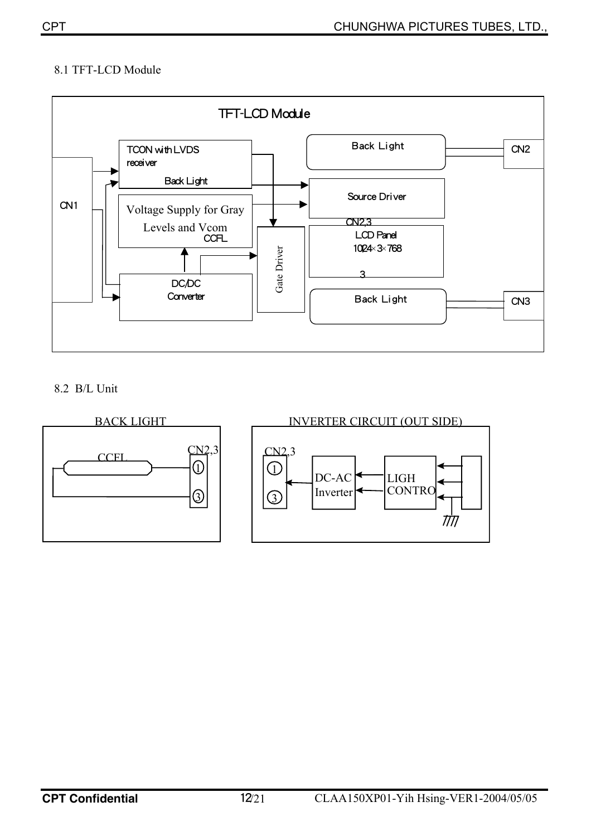## 8.1 TFT-LCD Module



8.2 B/L Unit

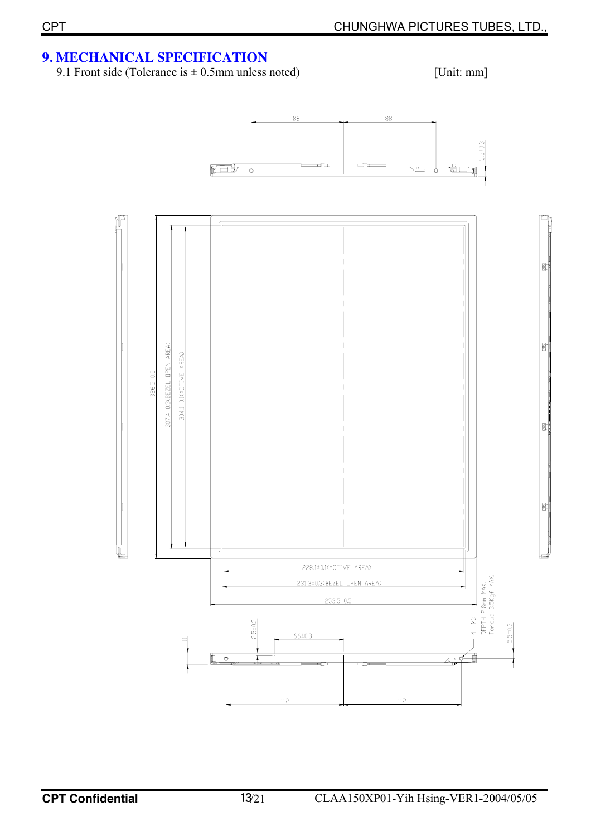## **9. MECHANICAL SPECIFICATION**

9.1 Front side (Tolerance is  $\pm$  0.5mm unless noted) [Unit: mm]

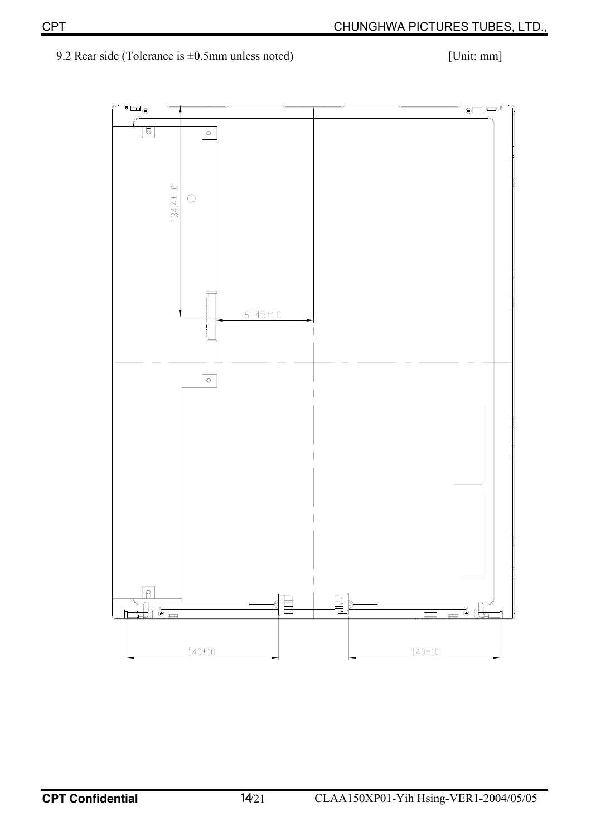## 9.2 Rear side (Tolerance is  $\pm 0.5$ mm unless noted) [Unit: mm]

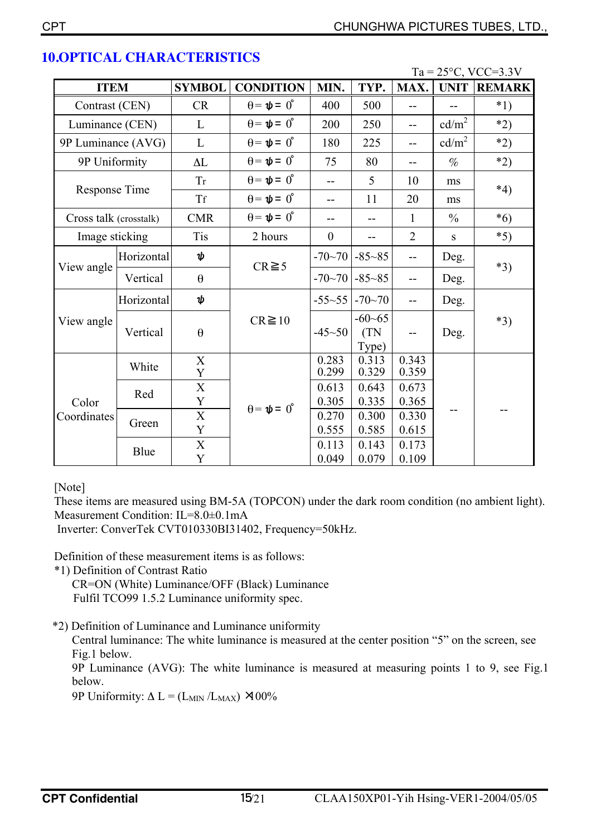|               |                        |                            |                             |                  |                             |                |                   | $Ta = 25^{\circ}C$ , VCC=3.3V |  |
|---------------|------------------------|----------------------------|-----------------------------|------------------|-----------------------------|----------------|-------------------|-------------------------------|--|
| <b>ITEM</b>   |                        | <b>SYMBOL</b>              | <b>CONDITION</b>            | MIN.             | TYP.                        | MAX.           | <b>UNIT</b>       | <b>REMARK</b>                 |  |
|               | Contrast (CEN)         |                            | $\theta = \psi = 0^{\circ}$ | 400              | 500                         | --             | --                | $*1)$                         |  |
|               | Luminance (CEN)        |                            | $\theta = \psi = 0^{\circ}$ | 200              | 250                         | $-$            | cd/m <sup>2</sup> | $*2)$                         |  |
|               | 9P Luminance (AVG)     |                            | $\theta = \psi = 0^{\circ}$ | 180              | 225                         | --             | cd/m <sup>2</sup> | $*2)$                         |  |
| 9P Uniformity |                        | $\Delta L$                 | $\theta = \psi = 0^{\circ}$ | 75               | 80                          | $-$            | $\%$              | $*2)$                         |  |
|               |                        | <b>Tr</b>                  | $\theta = \psi = 0^{\circ}$ | $-$              | 5                           | 10             | ms                | $*4)$                         |  |
|               | Response Time          |                            | $\theta = \psi = 0^{\circ}$ | $-$              | 11                          | 20             | ms                |                               |  |
|               | Cross talk (crosstalk) |                            | $\theta = \psi = 0^{\circ}$ |                  |                             | $\mathbf{1}$   | $\frac{0}{0}$     | $*6)$                         |  |
|               | Image sticking         |                            | 2 hours                     | $\boldsymbol{0}$ | --                          | $\overline{2}$ | S                 | $*5)$                         |  |
|               | Horizontal             | ψ                          | $CR \ge 5$                  | $-70 - 70$       | $-85 - 85$                  | --             | Deg.              | $*3)$                         |  |
| View angle    | Vertical               | $\theta$                   |                             | $-70-70$         | $-85 - 85$                  | --             | Deg.              |                               |  |
|               | Horizontal             | ψ                          |                             | $-55-55$         | $-70 - 70$                  | --             | Deg.              |                               |  |
| View angle    | Vertical               | $\boldsymbol{\theta}$      | $CR \ge 10$                 | $-45 - 50$       | $-60 - 65$<br>(TN)<br>Type) |                | Deg.              | $*3)$                         |  |
|               | White                  | $\mathbf X$<br>$\mathbf Y$ |                             | 0.283<br>0.299   | 0.313<br>0.329              | 0.343<br>0.359 |                   |                               |  |
| Color         | Red                    | $\mathbf X$<br>$\mathbf Y$ |                             | 0.613<br>0.305   | 0.643<br>0.335              | 0.673<br>0.365 |                   |                               |  |
| Coordinates   | Green                  | X<br>Y                     | $\theta = \psi = 0^{\circ}$ | 0.270<br>0.555   | 0.300<br>0.585              | 0.330<br>0.615 |                   |                               |  |
|               | Blue                   | $\mathbf X$<br>Y           |                             | 0.113<br>0.049   | 0.143<br>0.079              | 0.173<br>0.109 |                   |                               |  |

## **10.OPTICAL CHARACTERISTICS**

[Note]

These items are measured using BM-5A (TOPCON) under the dark room condition (no ambient light). Measurement Condition: IL=8.0±0.1mA

Inverter: ConverTek CVT010330BI31402, Frequency=50kHz.

Definition of these measurement items is as follows:

\*1) Definition of Contrast Ratio

CR=ON (White) Luminance/OFF (Black) Luminance Fulfil TCO99 1.5.2 Luminance uniformity spec.

\*2) Definition of Luminance and Luminance uniformity

Central luminance: The white luminance is measured at the center position "5" on the screen, see Fig.1 below.

9P Luminance (AVG): The white luminance is measured at measuring points 1 to 9, see Fig.1 below.

9P Uniformity:  $\Delta L = (L_{MIN}/L_{MAX})$  ×100%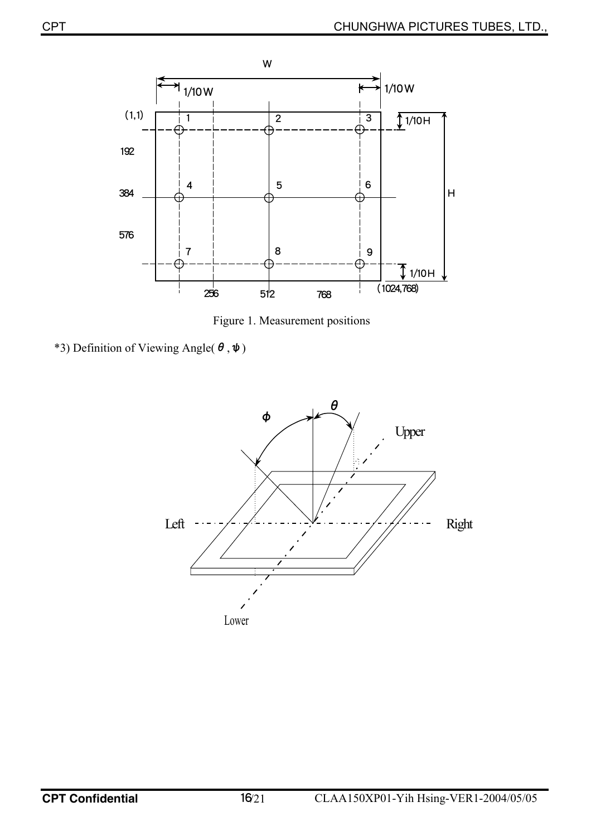

Figure 1. Measurement positions

\*3) Definition of Viewing Angle( $\theta$ , $\psi$ )

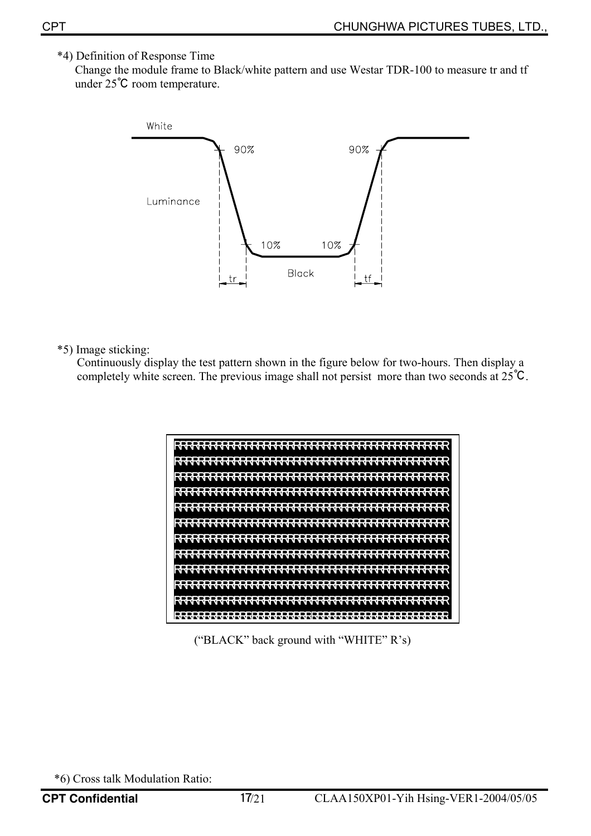## \*4) Definition of Response Time

 Change the module frame to Black/white pattern and use Westar TDR-100 to measure tr and tf under 25℃ room temperature.



#### \*5) Image sticking:

Continuously display the test pattern shown in the figure below for two-hours. Then display a completely white screen. The previous image shall not persist more than two seconds at 25℃.



("BLACK" back ground with "WHITE" R's)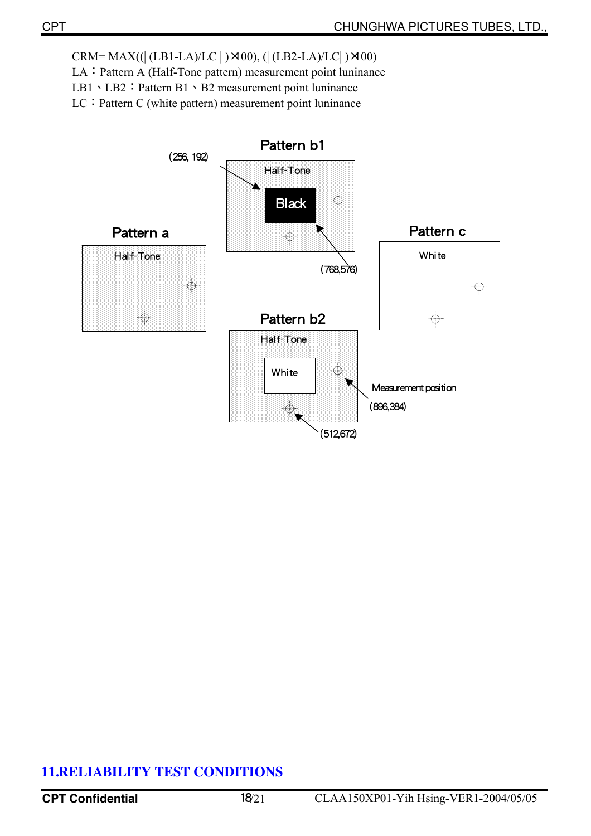$CRM = MAX((| (LB1-LA)/LC |) \times 00), (| (LB2-LA)/LC |) \times 00)$ 

LA: Pattern A (Half-Tone pattern) measurement point luninance

LB1、LB2: Pattern B1、B2 measurement point luninance

LC: Pattern C (white pattern) measurement point luninance



## **11.RELIABILITY TEST CONDITIONS**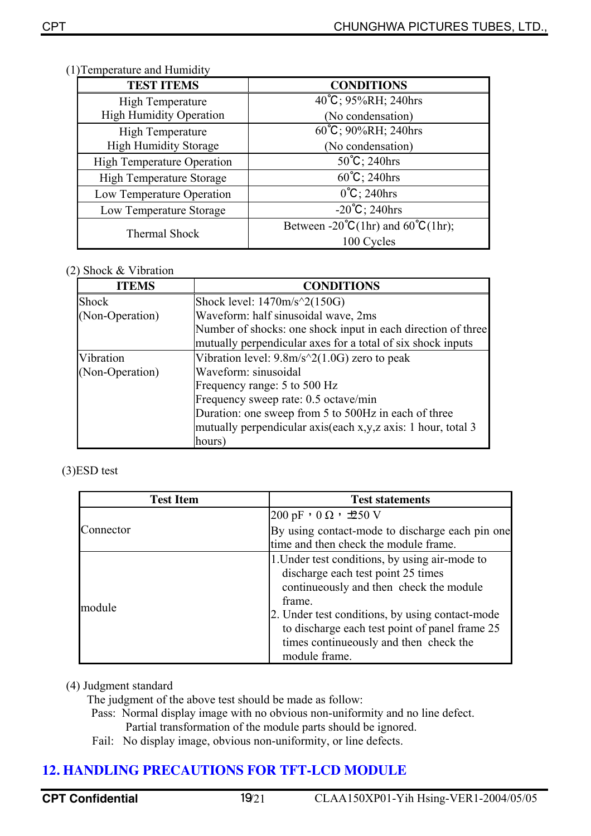| <b>TEST ITEMS</b>                 | <b>CONDITIONS</b>                                                                  |
|-----------------------------------|------------------------------------------------------------------------------------|
| <b>High Temperature</b>           | 40°C; 95%RH; 240hrs                                                                |
| <b>High Humidity Operation</b>    | (No condensation)                                                                  |
| High Temperature                  | 60°C; 90%RH; 240hrs                                                                |
| <b>High Humidity Storage</b>      | (No condensation)                                                                  |
| <b>High Temperature Operation</b> | $50^{\circ}$ C; 240hrs                                                             |
| <b>High Temperature Storage</b>   | $60^{\circ}$ C; 240hrs                                                             |
| Low Temperature Operation         | $0^{\circ}C$ ; 240hrs                                                              |
| Low Temperature Storage           | $-20^{\circ}C$ ; 240hrs                                                            |
| Thermal Shock                     | Between -20 $^{\circ}C(1\text{hr})$ and 60 $^{\circ}C(1\text{hr})$ ;<br>100 Cycles |

#### (1) Temperature and Humidity

#### (2) Shock & Vibration

| <b>ITEMS</b>    | <b>CONDITIONS</b>                                            |
|-----------------|--------------------------------------------------------------|
| <b>Shock</b>    | Shock level: $1470m/s^2(150G)$                               |
| (Non-Operation) | Waveform: half sinusoidal wave, 2ms                          |
|                 | Number of shocks: one shock input in each direction of three |
|                 | mutually perpendicular axes for a total of six shock inputs  |
| Vibration       | Vibration level: $9.8m/s^2(1.0G)$ zero to peak               |
| (Non-Operation) | Waveform: sinusoidal                                         |
|                 | Frequency range: 5 to 500 Hz                                 |
|                 | Frequency sweep rate: 0.5 octave/min                         |
|                 | Duration: one sweep from 5 to 500Hz in each of three         |
|                 | mutually perpendicular axis(each x,y,z axis: 1 hour, total 3 |
|                 | hours)                                                       |

#### (3)ESD test

| <b>Test Item</b> | <b>Test statements</b>                                                                                                                                                                                                                                                                                    |
|------------------|-----------------------------------------------------------------------------------------------------------------------------------------------------------------------------------------------------------------------------------------------------------------------------------------------------------|
|                  | $ 200 \text{ pF} \cdot 0 \Omega \cdot \exists 50 \text{ V}$                                                                                                                                                                                                                                               |
| Connector        | By using contact-mode to discharge each pin one<br>time and then check the module frame.                                                                                                                                                                                                                  |
| module           | 1. Under test conditions, by using air-mode to<br>discharge each test point 25 times<br>continueously and then check the module<br>frame.<br>2. Under test conditions, by using contact-mode<br>to discharge each test point of panel frame 25<br>times continueously and then check the<br>module frame. |

#### (4) Judgment standard

The judgment of the above test should be made as follow:

- Pass: Normal display image with no obvious non-uniformity and no line defect. Partial transformation of the module parts should be ignored.
- Fail: No display image, obvious non-uniformity, or line defects.

## **12. HANDLING PRECAUTIONS FOR TFT-LCD MODULE**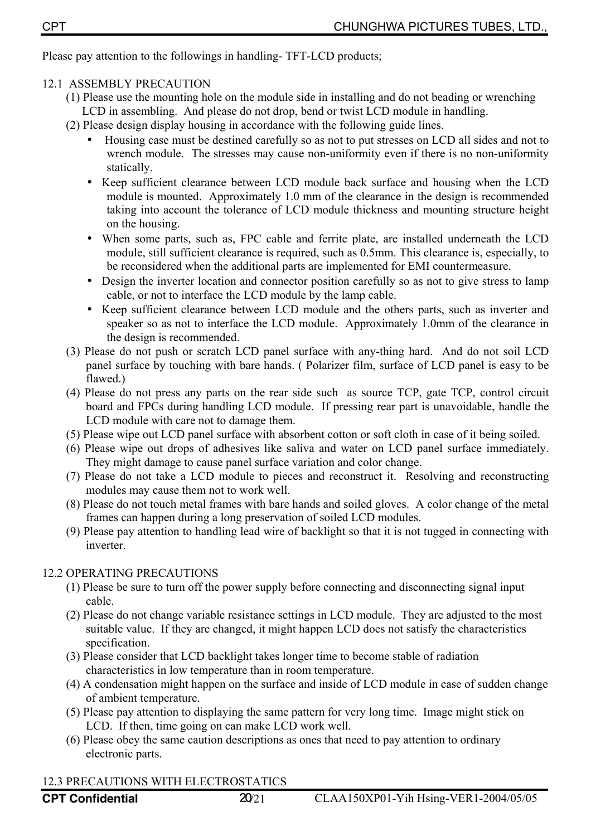Please pay attention to the followings in handling- TFT-LCD products;

#### 12.1ASSEMBLY PRECAUTION

- (1) Please use the mounting hole on the module side in installing and do not beading or wrenching LCD in assembling. And please do not drop, bend or twist LCD module in handling.
- (2) Please design display housing in accordance with the following guide lines.
	- Housing case must be destined carefully so as not to put stresses on LCD all sides and not to wrench module. The stresses may cause non-uniformity even if there is no non-uniformity statically.
	- Keep sufficient clearance between LCD module back surface and housing when the LCD module is mounted. Approximately 1.0 mm of the clearance in the design is recommended taking into account the tolerance of LCD module thickness and mounting structure height on the housing.
	- When some parts, such as, FPC cable and ferrite plate, are installed underneath the LCD module, still sufficient clearance is required, such as 0.5mm. This clearance is, especially, to be reconsidered when the additional parts are implemented for EMI countermeasure.
	- Design the inverter location and connector position carefully so as not to give stress to lamp cable, or not to interface the LCD module by the lamp cable.
	- Keep sufficient clearance between LCD module and the others parts, such as inverter and speaker so as not to interface the LCD module. Approximately 1.0mm of the clearance in the design is recommended.
- (3) Please do not push or scratch LCD panel surface with any-thing hard. And do not soil LCD panel surface by touching with bare hands. ( Polarizer film, surface of LCD panel is easy to be flawed.)
- (4) Please do not press any parts on the rear side such as source TCP, gate TCP, control circuit board and FPCs during handling LCD module. If pressing rear part is unavoidable, handle the LCD module with care not to damage them.
- (5) Please wipe out LCD panel surface with absorbent cotton or soft cloth in case of it being soiled.
- (6) Please wipe out drops of adhesives like saliva and water on LCD panel surface immediately. They might damage to cause panel surface variation and color change.
- (7) Please do not take a LCD module to pieces and reconstruct it. Resolving and reconstructing modules may cause them not to work well.
- (8) Please do not touch metal frames with bare hands and soiled gloves. A color change of the metal frames can happen during a long preservation of soiled LCD modules.
- (9) Please pay attention to handling lead wire of backlight so that it is not tugged in connecting with inverter.

#### 12.2 OPERATING PRECAUTIONS

- (1) Please be sure to turn off the power supply before connecting and disconnecting signal input cable.
- (2) Please do not change variable resistance settings in LCD module. They are adjusted to the most suitable value. If they are changed, it might happen LCD does not satisfy the characteristics specification.
- (3) Please consider that LCD backlight takes longer time to become stable of radiation characteristics in low temperature than in room temperature.
- (4) A condensation might happen on the surface and inside of LCD module in case of sudden change of ambient temperature.
- (5) Please pay attention to displaying the same pattern for very long time. Image might stick on LCD. If then, time going on can make LCD work well.
- (6) Please obey the same caution descriptions as ones that need to pay attention to ordinary electronic parts.

#### 12.3 PRECAUTIONS WITH ELECTROSTATICS